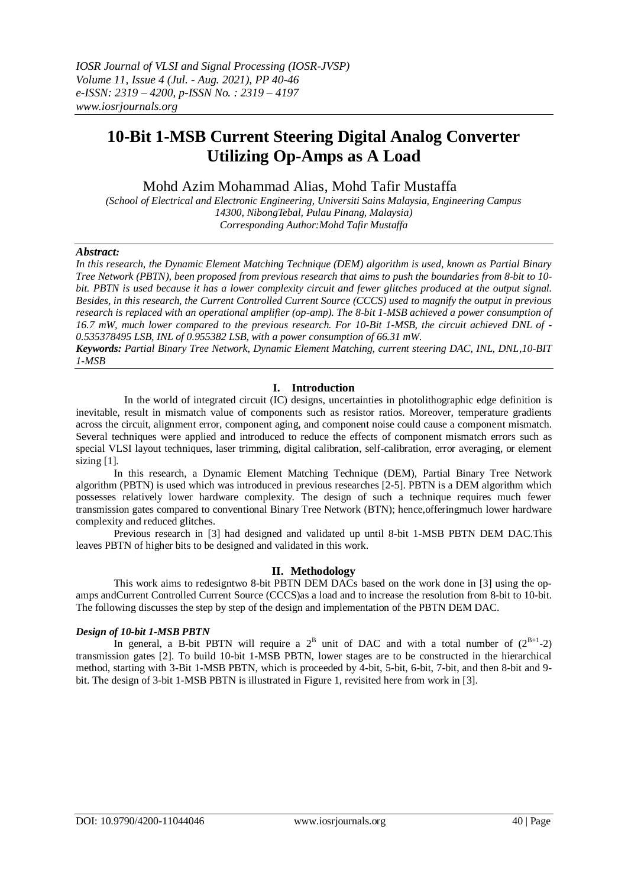# **10-Bit 1-MSB Current Steering Digital Analog Converter Utilizing Op-Amps as A Load**

Mohd Azim Mohammad Alias, Mohd Tafir Mustaffa

*(School of Electrical and Electronic Engineering, Universiti Sains Malaysia, Engineering Campus 14300, NibongTebal, Pulau Pinang, Malaysia) Corresponding Author:Mohd Tafir Mustaffa*

## *Abstract:*

*In this research, the Dynamic Element Matching Technique (DEM) algorithm is used, known as Partial Binary Tree Network (PBTN), been proposed from previous research that aims to push the boundaries from 8-bit to 10 bit. PBTN is used because it has a lower complexity circuit and fewer glitches produced at the output signal. Besides, in this research, the Current Controlled Current Source (CCCS) used to magnify the output in previous research is replaced with an operational amplifier (op-amp). The 8-bit 1-MSB achieved a power consumption of 16.7 mW, much lower compared to the previous research. For 10-Bit 1-MSB, the circuit achieved DNL of - 0.535378495 LSB, INL of 0.955382 LSB, with a power consumption of 66.31 mW.*

*Keywords: Partial Binary Tree Network, Dynamic Element Matching, current steering DAC, INL, DNL,10-BIT 1-MSB*

# **I. Introduction**

 In the world of integrated circuit (IC) designs, uncertainties in photolithographic edge definition is inevitable, result in mismatch value of components such as resistor ratios. Moreover, temperature gradients across the circuit, alignment error, component aging, and component noise could cause a component mismatch. Several techniques were applied and introduced to reduce the effects of component mismatch errors such as special VLSI layout techniques, laser trimming, digital calibration, self-calibration, error averaging, or element sizing [1].

In this research, a Dynamic Element Matching Technique (DEM), Partial Binary Tree Network algorithm (PBTN) is used which was introduced in previous researches [2-5]. PBTN is a DEM algorithm which possesses relatively lower hardware complexity. The design of such a technique requires much fewer transmission gates compared to conventional Binary Tree Network (BTN); hence,offeringmuch lower hardware complexity and reduced glitches.

Previous research in [3] had designed and validated up until 8-bit 1-MSB PBTN DEM DAC.This leaves PBTN of higher bits to be designed and validated in this work.

# **II. Methodology**

This work aims to redesigntwo 8-bit PBTN DEM DACs based on the work done in [3] using the opamps andCurrent Controlled Current Source (CCCS)as a load and to increase the resolution from 8-bit to 10-bit. The following discusses the step by step of the design and implementation of the PBTN DEM DAC.

### *Design of 10-bit 1-MSB PBTN*

In general, a B-bit PBTN will require a  $2^B$  unit of DAC and with a total number of  $(2^{B+1}-2)$ transmission gates [2]. To build 10-bit 1-MSB PBTN, lower stages are to be constructed in the hierarchical method, starting with 3-Bit 1-MSB PBTN, which is proceeded by 4-bit, 5-bit, 6-bit, 7-bit, and then 8-bit and 9 bit. The design of 3-bit 1-MSB PBTN is illustrated in Figure 1, revisited here from work in [3].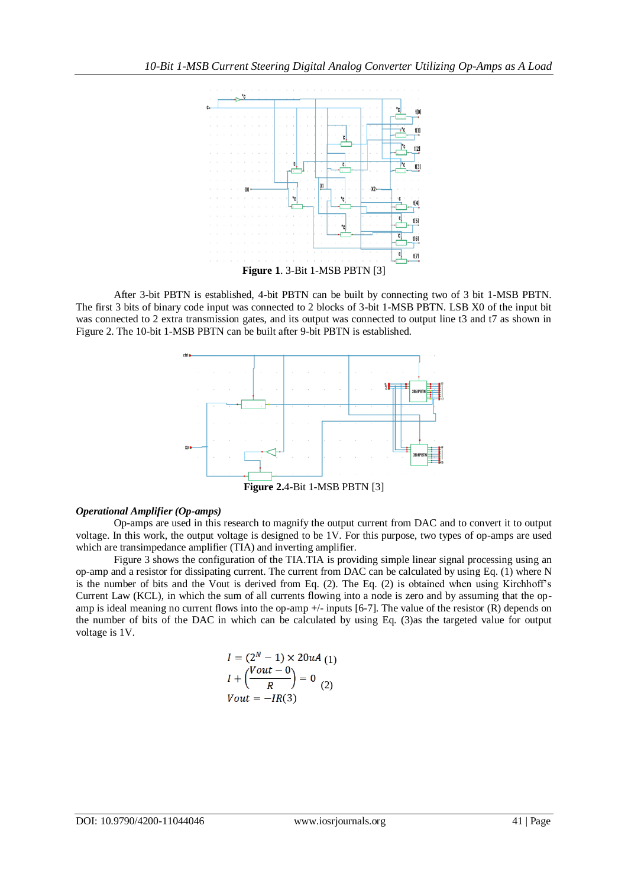

After 3-bit PBTN is established, 4-bit PBTN can be built by connecting two of 3 bit 1-MSB PBTN. The first 3 bits of binary code input was connected to 2 blocks of 3-bit 1-MSB PBTN. LSB X0 of the input bit was connected to 2 extra transmission gates, and its output was connected to output line t3 and t7 as shown in Figure 2. The 10-bit 1-MSB PBTN can be built after 9-bit PBTN is established.



**Figure 2.**4-Bit 1-MSB PBTN [3]

### *Operational Amplifier (Op-amps)*

Op-amps are used in this research to magnify the output current from DAC and to convert it to output voltage. In this work, the output voltage is designed to be 1V. For this purpose, two types of op-amps are used which are transimpedance amplifier (TIA) and inverting amplifier.

Figure 3 shows the configuration of the TIA.TIA is providing simple linear signal processing using an op-amp and a resistor for dissipating current. The current from DAC can be calculated by using Eq. (1) where N is the number of bits and the Vout is derived from Eq. (2). The Eq. (2) is obtained when using Kirchhoff's Current Law (KCL), in which the sum of all currents flowing into a node is zero and by assuming that the opamp is ideal meaning no current flows into the op-amp  $+/-$  inputs [6-7]. The value of the resistor (R) depends on the number of bits of the DAC in which can be calculated by using Eq. (3)as the targeted value for output voltage is 1V.

$$
I = (2N - 1) \times 20uA
$$
  
\n
$$
I + \left(\frac{Vout - 0}{R}\right) = 0
$$
  
\n
$$
Vout = -IR(3)
$$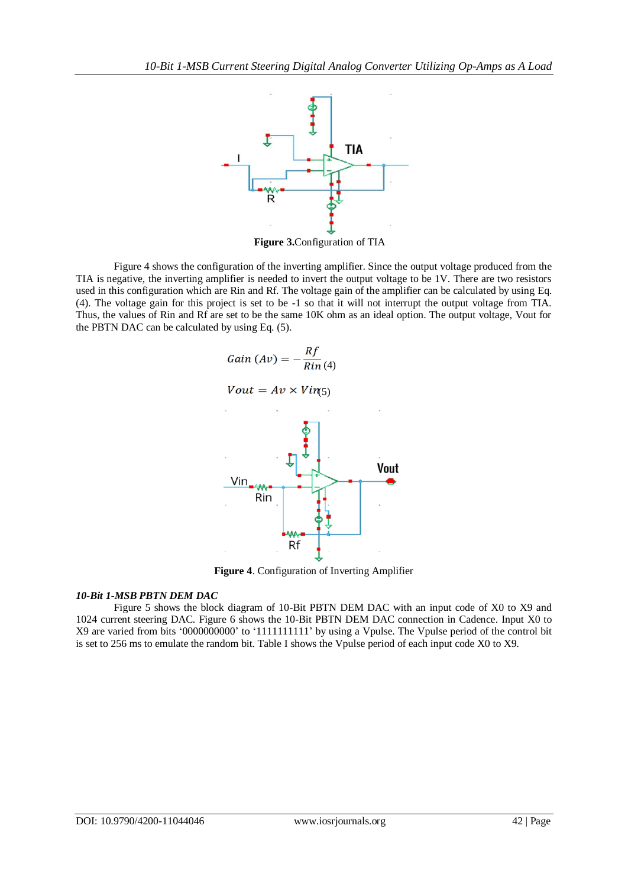

**Figure 3.**Configuration of TIA

Figure 4 shows the configuration of the inverting amplifier. Since the output voltage produced from the TIA is negative, the inverting amplifier is needed to invert the output voltage to be 1V. There are two resistors used in this configuration which are Rin and Rf. The voltage gain of the amplifier can be calculated by using Eq. (4). The voltage gain for this project is set to be -1 so that it will not interrupt the output voltage from TIA. Thus, the values of Rin and Rf are set to be the same 10K ohm as an ideal option. The output voltage, Vout for the PBTN DAC can be calculated by using Eq. (5).



**Figure 4**. Configuration of Inverting Amplifier

# *10-Bit 1-MSB PBTN DEM DAC*

Figure 5 shows the block diagram of 10-Bit PBTN DEM DAC with an input code of X0 to X9 and 1024 current steering DAC. Figure 6 shows the 10-Bit PBTN DEM DAC connection in Cadence. Input X0 to X9 are varied from bits '0000000000' to '1111111111' by using a Vpulse. The Vpulse period of the control bit is set to 256 ms to emulate the random bit. Table I shows the Vpulse period of each input code X0 to X9.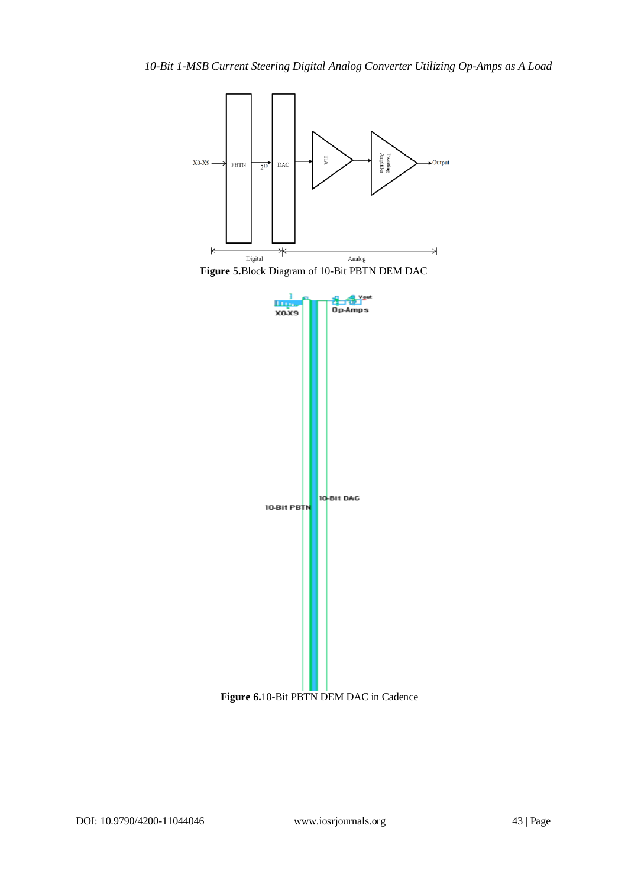

**Figure 5.**Block Diagram of 10-Bit PBTN DEM DAC



**Figure 6.**10-Bit PBTN DEM DAC in Cadence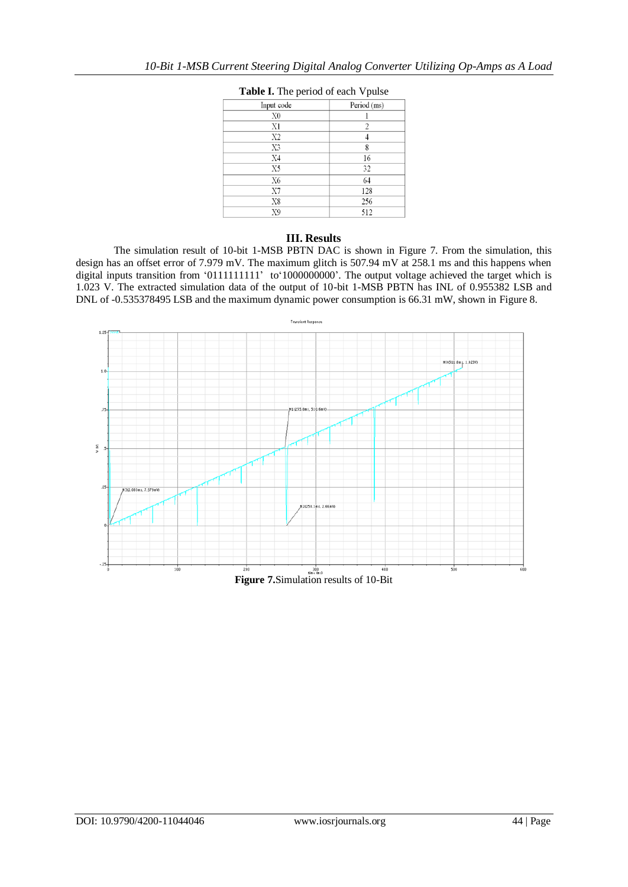| Input code     | Period (ms)    |
|----------------|----------------|
| X0             |                |
| X1             | $\overline{c}$ |
| X2             |                |
| X3             | 8              |
| X <sub>4</sub> | 16             |
| X5             | 32             |
| X6             | 64             |
| X7             | 128            |
| X8             | 256            |
| X9             | 512            |

# **Table I.** The period of each Vpulse

### **III. Results**

The simulation result of 10-bit 1-MSB PBTN DAC is shown in Figure 7. From the simulation, this design has an offset error of 7.979 mV. The maximum glitch is 507.94 mV at 258.1 ms and this happens when digital inputs transition from '01111111111' to'1000000000'. The output voltage achieved the target which is 1.023 V. The extracted simulation data of the output of 10-bit 1-MSB PBTN has INL of 0.955382 LSB and DNL of -0.535378495 LSB and the maximum dynamic power consumption is 66.31 mW, shown in Figure 8.

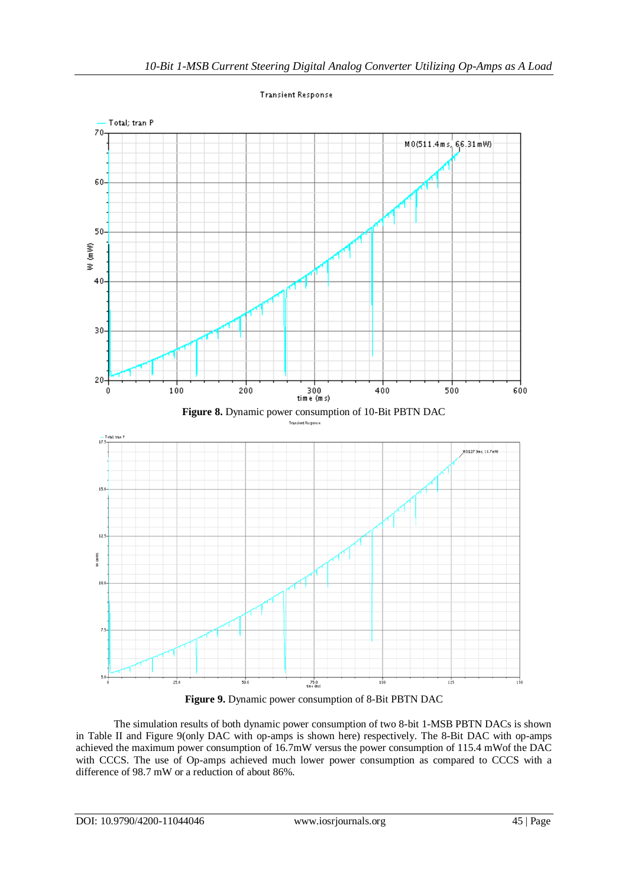

**Transient Response** 

**Figure 9.** Dynamic power consumption of 8-Bit PBTN DAC

The simulation results of both dynamic power consumption of two 8-bit 1-MSB PBTN DACs is shown in Table II and Figure 9(only DAC with op-amps is shown here) respectively. The 8-Bit DAC with op-amps achieved the maximum power consumption of 16.7mW versus the power consumption of 115.4 mWof the DAC with CCCS. The use of Op-amps achieved much lower power consumption as compared to CCCS with a difference of 98.7 mW or a reduction of about 86%.